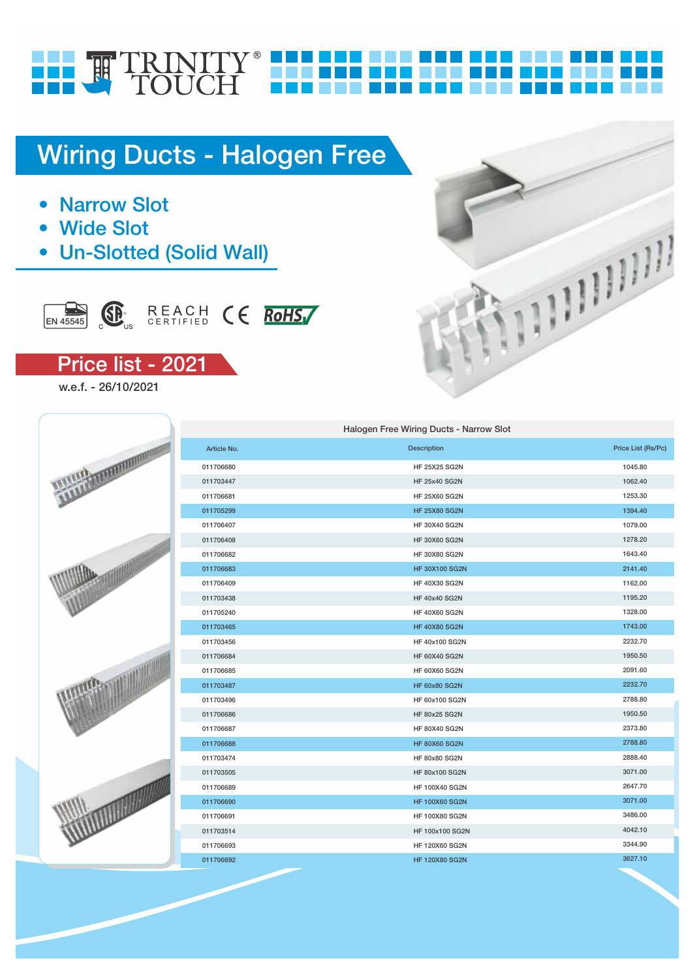# FILE TRINITY®

## Wiring Ducts - Halogen Free

- **Narrow Slot**
- **Wide Slot**
- Un-Slotted (Solid Wall)



## Price list - 2021

w.e.f. - 26/10/2021



|                 |             | Halogen Free Wiring Ducts - Narrow Slot |                    |
|-----------------|-------------|-----------------------------------------|--------------------|
|                 | Article No. | <b>Description</b>                      | Price List (Rs/Pc) |
| <b>MINIDIAN</b> | 011706680   | <b>HF 25X25 SG2N</b>                    | 1045.80            |
|                 | 011703447   | <b>HF 25x40 SG2N</b>                    | 1062.40            |
|                 | 011706681   | <b>HF 25X60 SG2N</b>                    | 1253.30            |
|                 | 011705299   | <b>HF 25X80 SG2N</b>                    | 1394.40            |
|                 | 011706407   | <b>HF 30X40 SG2N</b>                    | 1079.00            |
|                 | 011706408   | <b>HF 30X60 SG2N</b>                    | 1278.20            |
|                 | 011706682   | HF 30X80 SG2N                           | 1643.40            |
|                 | 011706683   | <b>HF 30X100 SG2N</b>                   | 2141.40            |
|                 | 011706409   | <b>HF 40X30 SG2N</b>                    | 1162.00            |
|                 | 011703438   | <b>HF 40x40 SG2N</b>                    | 1195.20            |
|                 | 011705240   | <b>HF 40X60 SG2N</b>                    | 1328.00            |
|                 | 011703465   | <b>HF 40X80 SG2N</b>                    | 1743.00            |
|                 | 011703456   | HF 40x100 SG2N                          | 2232.70            |
|                 | 011706684   | <b>HF 60X40 SG2N</b>                    | 1950.50            |
|                 | 011706685   | <b>HF 60X60 SG2N</b>                    | 2091.60            |
|                 | 011703487   | <b>HF 60x80 SG2N</b>                    | 2232.70            |
|                 | 011703496   | HF 60x100 SG2N                          | 2788.80            |
|                 | 011706686   | <b>HF 80x25 SG2N</b>                    | 1950.50            |
|                 | 011706687   | <b>HF 80X40 SG2N</b>                    | 2373.80            |
|                 | 011706688   | <b>HF 80X60 SG2N</b>                    | 2788.80            |
|                 | 011703474   | HF 80x80 SG2N                           | 2888.40            |
|                 | 011703505   | HF 80x100 SG2N                          | 3071.00            |
|                 | 011706689   | HF 100X40 SG2N                          | 2647.70            |
|                 | 011706690   | <b>HF 100X60 SG2N</b>                   | 3071.00            |
|                 | 011706691   | HF 100X80 SG2N                          | 3486.00            |
|                 | 011703514   | HF 100x100 SG2N                         | 4042.10            |
|                 | 011706693   | <b>HF 120X60 SG2N</b>                   | 3344.90            |
|                 | 011706692   | <b>HF 120X80 SG2N</b>                   | 3627.10            |
|                 |             |                                         |                    |